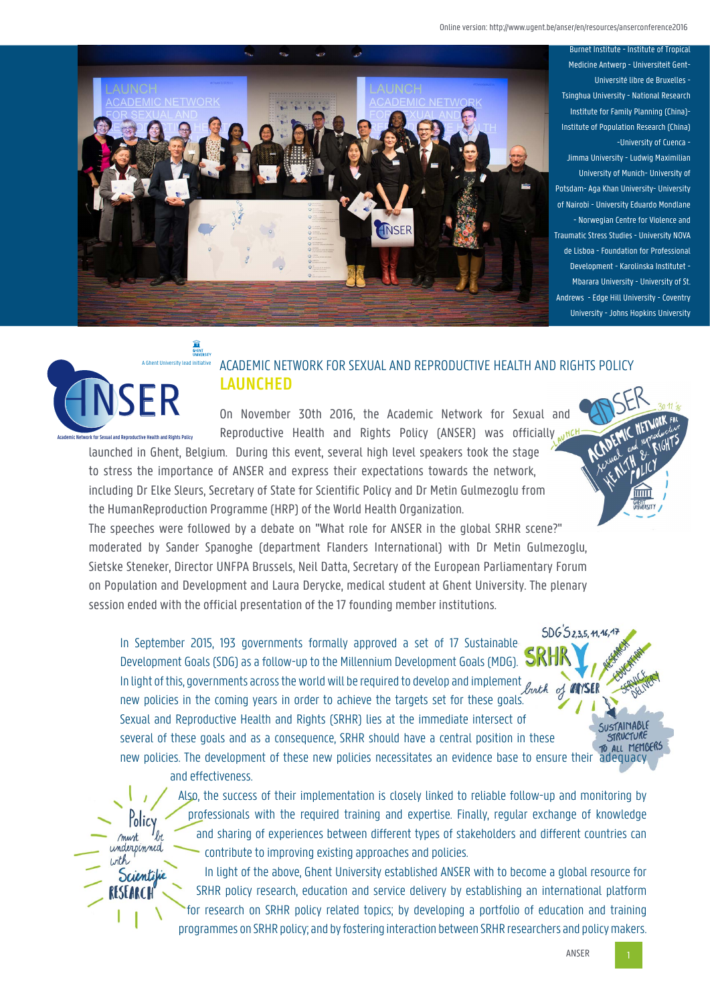Online version: http://www.ugent.be/anser/en/resources/anserconference2016



Burnet Institute - Institute of Tropical Medicine Antwerp - Universiteit Gent-Université libre de Bruxelles - Tsinghua University - National Research Institute for Family Planning (China)- Institute of Population Research (China) -University of Cuenca - Jimma University - Ludwig Maximilian University of Munich- University of Potsdam- Aga Khan University- University of Nairobi - University Eduardo Mondlane - Norwegian Centre for Violence and Traumatic Stress Studies - University NOVA de Lisboa - Foundation for Professional Development - Karolinska Institutet - Mbarara University - University of St. Andrews - Edge Hill University - Coventry University - Johns Hopkins University



# ACADEMIC NETWORK FOR SEXUAL AND REPRODUCTIVE HEALTH AND RIGHTS POLICY **LAUNCHED**

On November 30th 2016, the Academic Network for Sexual and Reproductive Health and Rights Policy (ANSER) was officially well

launched in Ghent, Belgium. During this event, several high level speakers took the stage to stress the importance of ANSER and express their expectations towards the network, including Dr Elke Sleurs, Secretary of State for Scientific Policy and Dr Metin Gulmezoglu from the HumanReproduction Programme (HRP) of the World Health Organization.

The speeches were followed by a debate on "What role for ANSER in the global SRHR scene?" moderated by Sander Spanoghe (department Flanders International) with Dr Metin Gulmezoglu, Sietske Steneker, Director UNFPA Brussels, Neil Datta, Secretary of the European Parliamentary Forum on Population and Development and Laura Derycke, medical student at Ghent University. The plenary session ended with the official presentation of the 17 founding member institutions.

 $SDG5235.4146.47$ In September 2015, 193 governments formally approved a set of 17 Sustainable Development Goals (SDG) as a follow-up to the Millennium Development Goals (MDG). In light of this, governments across the world will be required to develop and implement *buth of* **ANSE** new policies in the coming years in order to achieve the targets set for these goals. Sexual and Reproductive Health and Rights (SRHR) lies at the immediate intersect of several of these goals and as a consequence, SRHR should have a central position in these new policies. The development of these new policies necessitates an evidence base to ensure their adequacy

and effectiveness.

Policy must underpinned  $inth$ 

Scientific

RESEA

Also, the success of their implementation is closely linked to reliable follow-up and monitoring by professionals with the required training and expertise. Finally, regular exchange of knowledge and sharing of experiences between different types of stakeholders and different countries can contribute to improving existing approaches and policies.

In light of the above, Ghent University established ANSER with to become a global resource for SRHR policy research, education and service delivery by establishing an international platform for research on SRHR policy related topics; by developing a portfolio of education and training programmes on SRHR policy; and by fostering interaction between SRHR researchers and policy makers.

SUSTAINABLE STRUCTURE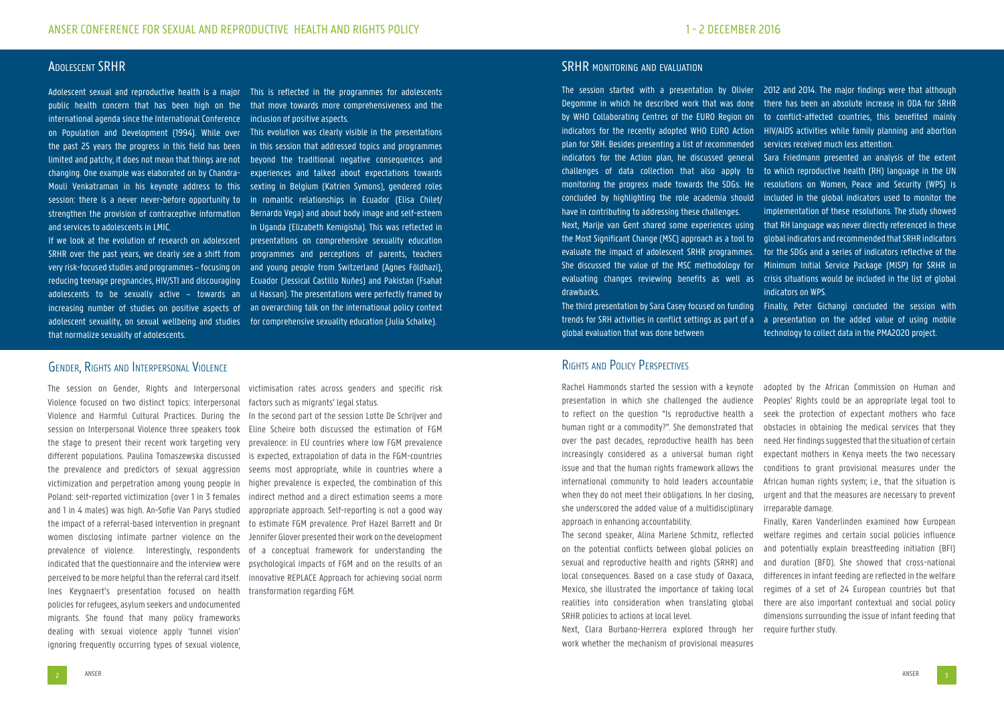## Adolescent SRHR

Adolescent sexual and reproductive health is a major This is reflected in the programmes for adolescents public health concern that has been high on the that move towards more comprehensiveness and the international agenda since the International Conference inclusion of positive aspects. on Population and Development (1994). While over the past 25 years the progress in this field has been limited and patchy, it does not mean that things are not beyond the traditional negative consequences and changing. One example was elaborated on by Chandra-Mouli Venkatraman in his keynote address to this sexting in Belgium (Katrien Symons), gendered roles session: there is a never never-before opportunity to in romantic relationships in Ecuador (Elisa Chilet/ strengthen the provision of contraceptive information Bernardo Vega) and about body image and self-esteem and services to adolescents in LMIC.

If we look at the evolution of research on adolescent presentations on comprehensive sexuality education SRHR over the past years, we clearly see a shift from programmes and perceptions of parents, teachers very risk-focused studies and programmes – focusing on and young people from Switzerland (Agnes Földhazi), reducing teenage pregnancies, HIV/STI and discouraging Ecuador (Jessical Castillo Nuñes) and Pakistan (Fsahat adolescents to be sexually active – towards an ul Hassan). The presentations were perfectly framed by increasing number of studies on positive aspects of an overarching talk on the international policy context adolescent sexuality, on sexual wellbeing and studies for comprehensive sexuality education (Julia Schalke). that normalize sexuality of adolescents.

This evolution was clearly visible in the presentations in this session that addressed topics and programmes experiences and talked about expectations towards in Uganda (Elizabeth Kemigisha). This was reflected in

The session on Gender, Rights and Interpersonal Violence focused on two distinct topics: Interpersonal Violence and Harmful Cultural Practices. During the session on Interpersonal Violence three speakers took the stage to present their recent work targeting very different populations. Paulina Tomaszewska discussed the prevalence and predictors of sexual aggression victimization and perpetration among young people in Poland: self-reported victimization (over 1 in 3 females and 1 in 4 males) was high. An-Sofie Van Parys studied the impact of a referral-based intervention in pregnant women disclosing intimate partner violence on the prevalence of violence. Interestingly, respondents perceived to be more helpful than the referral card itself. Ines Keygnaert's presentation focused on health policies for refugees, asylum seekers and undocumented migrants. She found that many policy frameworks dealing with sexual violence apply 'tunnel vision' ignoring frequently occurring types of sexual violence,

victimisation rates across genders and specific risk factors such as migrants' legal status.

indicated that the questionnaire and the interview were psychological impacts of FGM and on the results of an In the second part of the session Lotte De Schrijver and Eline Scheire both discussed the estimation of FGM prevalence: in EU countries where low FGM prevalence is expected, extrapolation of data in the FGM-countries seems most appropriate, while in countries where a higher prevalence is expected, the combination of this indirect method and a direct estimation seems a more appropriate approach. Self-reporting is not a good way to estimate FGM prevalence. Prof Hazel Barrett and Dr Jennifer Glover presented their work on the development of a conceptual framework for understanding the innovative REPLACE Approach for achieving social norm transformation regarding FGM.

### SRHR MONITORING AND EVALUATION

The session started with a presentation by Olivier 2012 and 2014. The major findings were that although Degomme in which he described work that was done by WHO Collaborating Centres of the EURO Region on to conflict-affected countries, this benefited mainly indicators for the recently adopted WHO EURO Action plan for SRH. Besides presenting a list of recommended indicators for the Action plan, he discussed general Sara Friedmann presented an analysis of the extent challenges of data collection that also apply to monitoring the progress made towards the SDGs. He concluded by highlighting the role academia should have in contributing to addressing these challenges. Next, Marije van Gent shared some experiences using that RH language was never directly referenced in these the Most Significant Change (MSC) approach as a tool to evaluate the impact of adolescent SRHR programmes. for the SDGs and a series of indicators reflective of the She discussed the value of the MSC methodology for evaluating changes reviewing benefits as well as crisis situations would be included in the list of global drawbacks. there has been an absolute increase in ODA for SRHR HIV/AIDS activities while family planning and abortion services received much less attention. to which reproductive health (RH) language in the UN resolutions on Women, Peace and Security (WPS) is included in the global indicators used to monitor the implementation of these resolutions. The study showed global indicators and recommended that SRHR indicators Minimum Initial Service Package (MISP) for SRHR in indicators on WPS.

global evaluation that was done between

The third presentation by Sara Casey focused on funding Finally, Peter Gichangi concluded the session with trends for SRH activities in conflict settings as part of a a presentation on the added value of using mobile technology to collect data in the PMA2020 project.

# Rights and Policy Perspectives

Rachel Hammonds started the session with a keynote presentation in which she challenged the audience to reflect on the question "Is reproductive health a human right or a commodity?". She demonstrated that over the past decades, reproductive health has been increasingly considered as a universal human right issue and that the human rights framework allows the international community to hold leaders accountable when they do not meet their obligations. In her closing, she underscored the added value of a multidisciplinary approach in enhancing accountability.

work whether the mechanism of provisional measures

The second speaker, Alina Marlene Schmitz, reflected on the potential conflicts between global policies on sexual and reproductive health and rights (SRHR) and local consequences. Based on a case study of Oaxaca, Mexico, she illustrated the importance of taking local realities into consideration when translating global SRHR policies to actions at local level. Next, Clara Burbano-Herrera explored through her Finally, Karen Vanderlinden examined how European welfare regimes and certain social policies influence and potentially explain breastfeeding initiation (BFI) and duration (BFD). She showed that cross-national differences in infant feeding are reflected in the welfare regimes of a set of 24 European countries but that there are also important contextual and social policy dimensions surrounding the issue of infant feeding that require further study.

adopted by the African Commission on Human and Peoples' Rights could be an appropriate legal tool to seek the protection of expectant mothers who face obstacles in obtaining the medical services that they need. Her findings suggested that the situation of certain expectant mothers in Kenya meets the two necessary conditions to grant provisional measures under the African human rights system; i.e., that the situation is urgent and that the measures are necessary to prevent irreparable damage.

# Gender, Rights and Interpersonal Violence